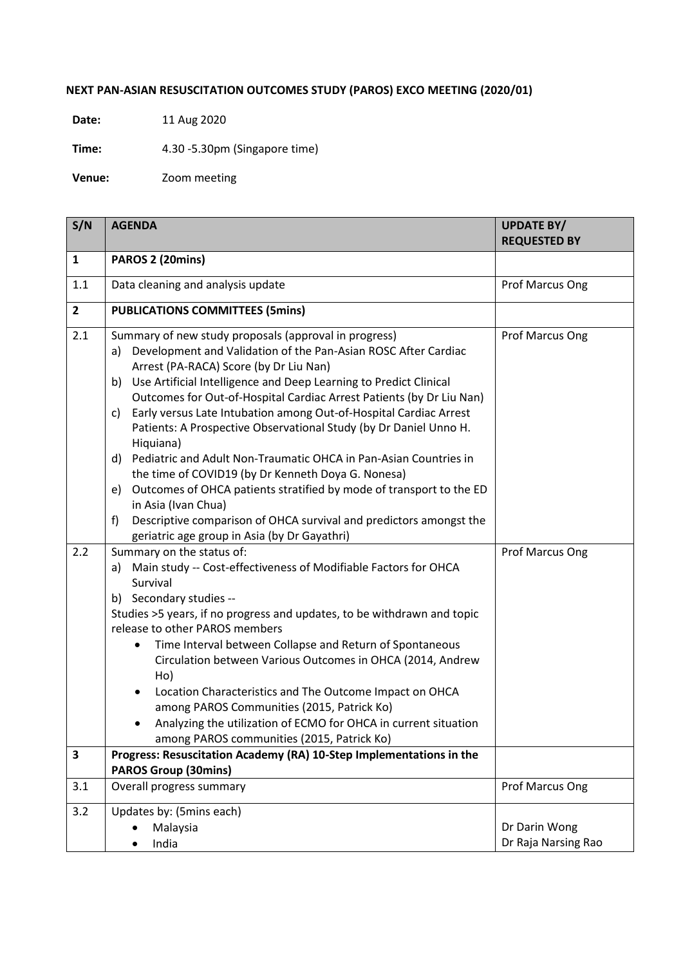## **NEXT PAN-ASIAN RESUSCITATION OUTCOMES STUDY (PAROS) EXCO MEETING (2020/01)**

**Date:** 11 Aug 2020

**Time:** 4.30 -5.30pm (Singapore time)

**Venue:** Zoom meeting

| S/N            | <b>AGENDA</b>                                                                                                                                                                                                                                                                                                                                                                                                                                                                                                                                                                                                                                                                                                                                                                                                                                        | <b>UPDATE BY/</b><br><b>REQUESTED BY</b> |
|----------------|------------------------------------------------------------------------------------------------------------------------------------------------------------------------------------------------------------------------------------------------------------------------------------------------------------------------------------------------------------------------------------------------------------------------------------------------------------------------------------------------------------------------------------------------------------------------------------------------------------------------------------------------------------------------------------------------------------------------------------------------------------------------------------------------------------------------------------------------------|------------------------------------------|
| 1              | PAROS 2 (20mins)                                                                                                                                                                                                                                                                                                                                                                                                                                                                                                                                                                                                                                                                                                                                                                                                                                     |                                          |
| 1.1            | Data cleaning and analysis update                                                                                                                                                                                                                                                                                                                                                                                                                                                                                                                                                                                                                                                                                                                                                                                                                    | Prof Marcus Ong                          |
| $\overline{2}$ | <b>PUBLICATIONS COMMITTEES (5mins)</b>                                                                                                                                                                                                                                                                                                                                                                                                                                                                                                                                                                                                                                                                                                                                                                                                               |                                          |
| 2.1            | Summary of new study proposals (approval in progress)<br>a) Development and Validation of the Pan-Asian ROSC After Cardiac<br>Arrest (PA-RACA) Score (by Dr Liu Nan)<br>Use Artificial Intelligence and Deep Learning to Predict Clinical<br>b)<br>Outcomes for Out-of-Hospital Cardiac Arrest Patients (by Dr Liu Nan)<br>Early versus Late Intubation among Out-of-Hospital Cardiac Arrest<br>C)<br>Patients: A Prospective Observational Study (by Dr Daniel Unno H.<br>Hiquiana)<br>Pediatric and Adult Non-Traumatic OHCA in Pan-Asian Countries in<br>d)<br>the time of COVID19 (by Dr Kenneth Doya G. Nonesa)<br>Outcomes of OHCA patients stratified by mode of transport to the ED<br>e)<br>in Asia (Ivan Chua)<br>Descriptive comparison of OHCA survival and predictors amongst the<br>f)<br>geriatric age group in Asia (by Dr Gayathri) | Prof Marcus Ong                          |
| 2.2            | Summary on the status of:<br>Main study -- Cost-effectiveness of Modifiable Factors for OHCA<br>a)<br>Survival<br>b) Secondary studies --<br>Studies >5 years, if no progress and updates, to be withdrawn and topic<br>release to other PAROS members<br>Time Interval between Collapse and Return of Spontaneous<br>٠<br>Circulation between Various Outcomes in OHCA (2014, Andrew<br>Ho)<br>Location Characteristics and The Outcome Impact on OHCA<br>among PAROS Communities (2015, Patrick Ko)<br>Analyzing the utilization of ECMO for OHCA in current situation<br>among PAROS communities (2015, Patrick Ko)                                                                                                                                                                                                                               | Prof Marcus Ong                          |
| 3              | Progress: Resuscitation Academy (RA) 10-Step Implementations in the                                                                                                                                                                                                                                                                                                                                                                                                                                                                                                                                                                                                                                                                                                                                                                                  |                                          |
| 3.1            | <b>PAROS Group (30mins)</b><br>Overall progress summary                                                                                                                                                                                                                                                                                                                                                                                                                                                                                                                                                                                                                                                                                                                                                                                              | Prof Marcus Ong                          |
| 3.2            | Updates by: (5mins each)                                                                                                                                                                                                                                                                                                                                                                                                                                                                                                                                                                                                                                                                                                                                                                                                                             |                                          |
|                | Malaysia                                                                                                                                                                                                                                                                                                                                                                                                                                                                                                                                                                                                                                                                                                                                                                                                                                             | Dr Darin Wong                            |
|                | India                                                                                                                                                                                                                                                                                                                                                                                                                                                                                                                                                                                                                                                                                                                                                                                                                                                | Dr Raja Narsing Rao                      |